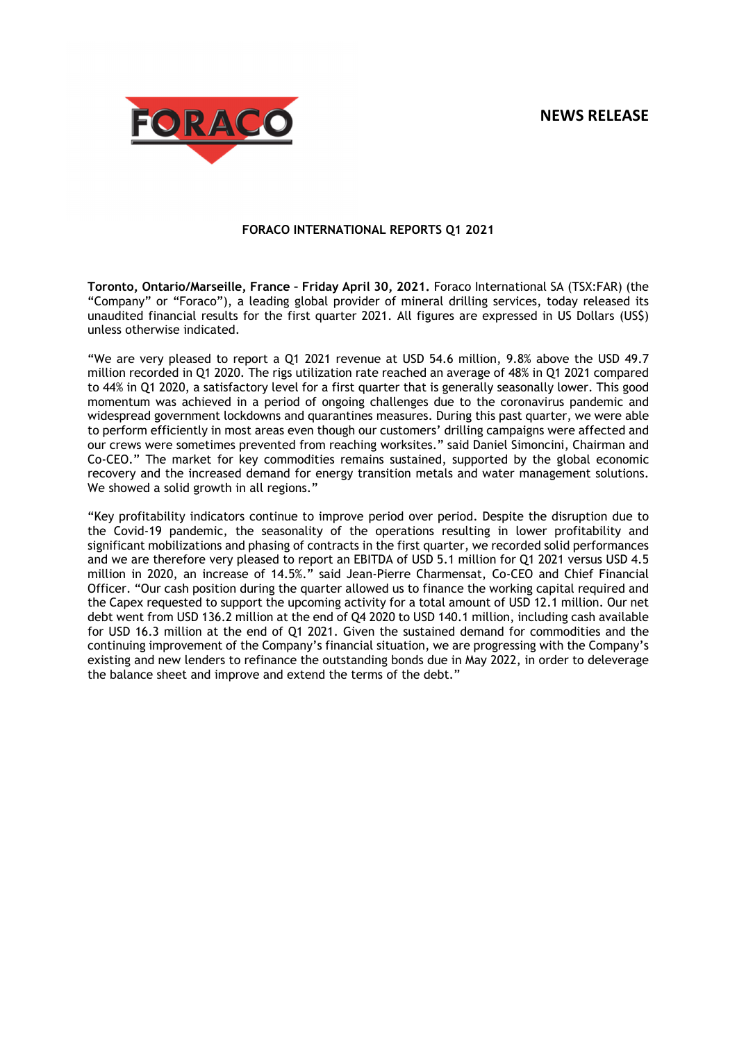# **NEWS RELEASE**



## **FORACO INTERNATIONAL REPORTS Q1 2021**

**Toronto, Ontario/Marseille, France – Friday April 30, 2021.** Foraco International SA (TSX:FAR) (the "Company" or "Foraco"), a leading global provider of mineral drilling services, today released its unaudited financial results for the first quarter 2021. All figures are expressed in US Dollars (US\$) unless otherwise indicated.

"We are very pleased to report a Q1 2021 revenue at USD 54.6 million, 9.8% above the USD 49.7 million recorded in Q1 2020. The rigs utilization rate reached an average of 48% in Q1 2021 compared to 44% in Q1 2020, a satisfactory level for a first quarter that is generally seasonally lower. This good momentum was achieved in a period of ongoing challenges due to the coronavirus pandemic and widespread government lockdowns and quarantines measures. During this past quarter, we were able to perform efficiently in most areas even though our customers' drilling campaigns were affected and our crews were sometimes prevented from reaching worksites." said Daniel Simoncini, Chairman and Co-CEO." The market for key commodities remains sustained, supported by the global economic recovery and the increased demand for energy transition metals and water management solutions. We showed a solid growth in all regions."

"Key profitability indicators continue to improve period over period. Despite the disruption due to the Covid-19 pandemic, the seasonality of the operations resulting in lower profitability and significant mobilizations and phasing of contracts in the first quarter, we recorded solid performances and we are therefore very pleased to report an EBITDA of USD 5.1 million for Q1 2021 versus USD 4.5 million in 2020, an increase of 14.5%." said Jean-Pierre Charmensat, Co-CEO and Chief Financial Officer. "Our cash position during the quarter allowed us to finance the working capital required and the Capex requested to support the upcoming activity for a total amount of USD 12.1 million. Our net debt went from USD 136.2 million at the end of Q4 2020 to USD 140.1 million, including cash available for USD 16.3 million at the end of Q1 2021. Given the sustained demand for commodities and the continuing improvement of the Company's financial situation, we are progressing with the Company's existing and new lenders to refinance the outstanding bonds due in May 2022, in order to deleverage the balance sheet and improve and extend the terms of the debt."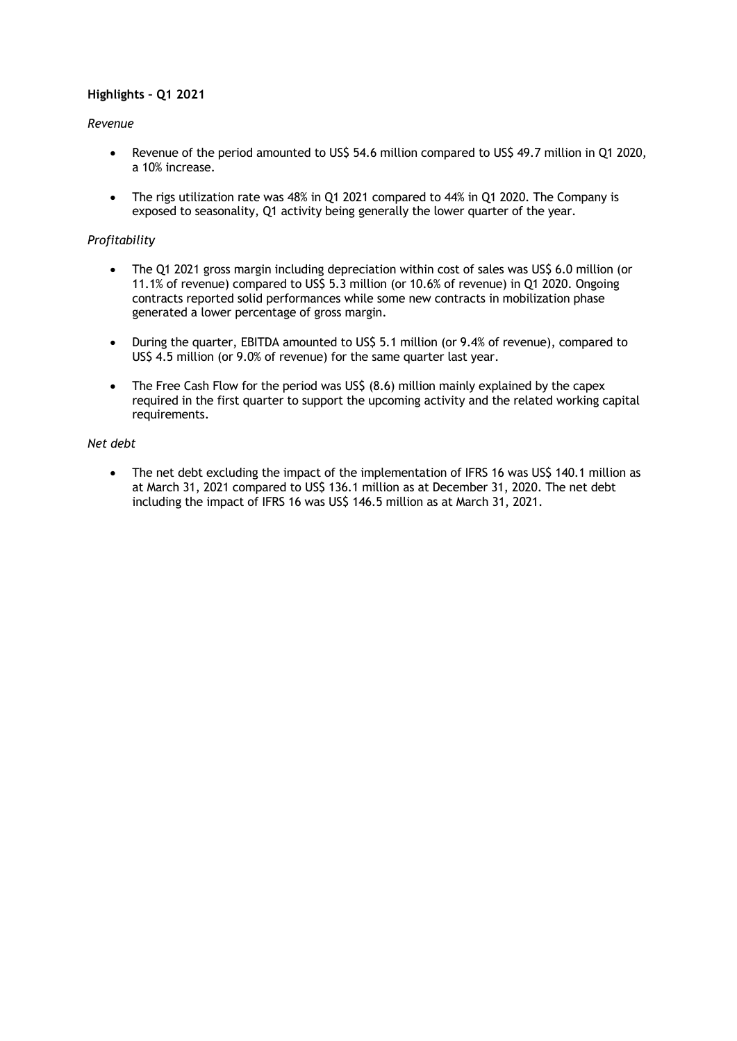## **Highlights – Q1 2021**

## *Revenue*

- Revenue of the period amounted to US\$ 54.6 million compared to US\$ 49.7 million in Q1 2020, a 10% increase.
- The rigs utilization rate was 48% in Q1 2021 compared to 44% in Q1 2020. The Company is exposed to seasonality, Q1 activity being generally the lower quarter of the year.

## *Profitability*

- The Q1 2021 gross margin including depreciation within cost of sales was US\$ 6.0 million (or 11.1% of revenue) compared to US\$ 5.3 million (or 10.6% of revenue) in Q1 2020. Ongoing contracts reported solid performances while some new contracts in mobilization phase generated a lower percentage of gross margin.
- During the quarter, EBITDA amounted to US\$ 5.1 million (or 9.4% of revenue), compared to US\$ 4.5 million (or 9.0% of revenue) for the same quarter last year.
- The Free Cash Flow for the period was US\$ (8.6) million mainly explained by the capex required in the first quarter to support the upcoming activity and the related working capital requirements.

### *Net debt*

• The net debt excluding the impact of the implementation of IFRS 16 was US\$ 140.1 million as at March 31, 2021 compared to US\$ 136.1 million as at December 31, 2020. The net debt including the impact of IFRS 16 was US\$ 146.5 million as at March 31, 2021.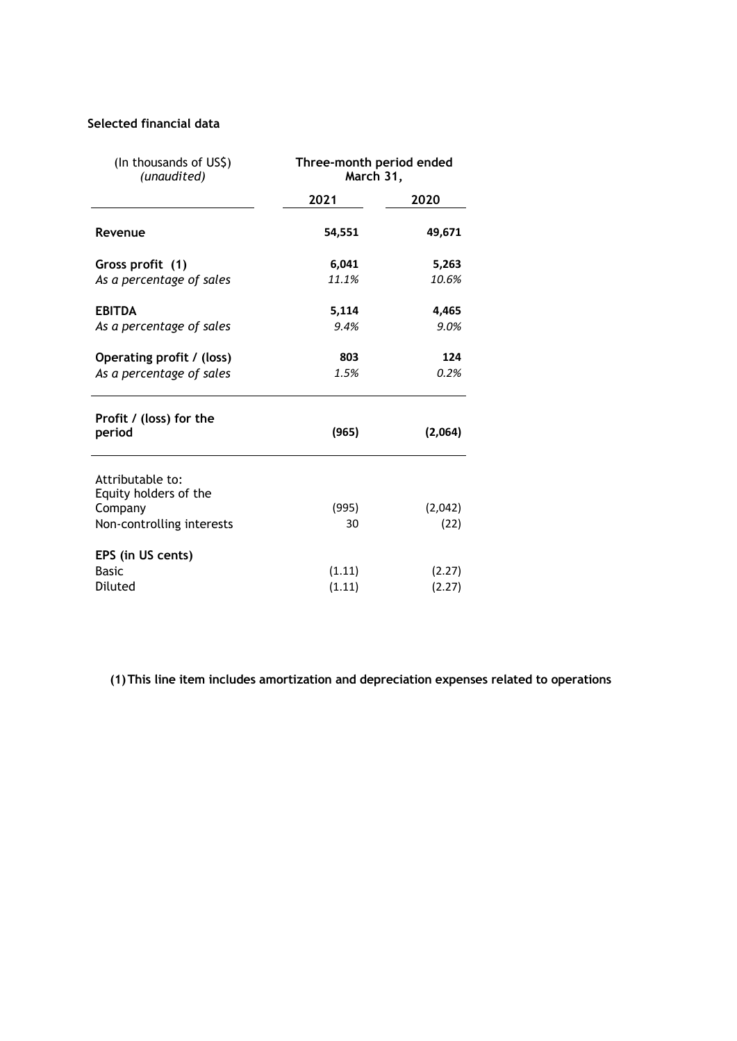# **Selected financial data**

| (In thousands of US\$)<br>(unaudited)                | Three-month period ended<br>March 31, |         |  |
|------------------------------------------------------|---------------------------------------|---------|--|
|                                                      | 2021                                  | 2020    |  |
| Revenue                                              | 54,551                                | 49,671  |  |
| Gross profit (1)                                     | 6,041                                 | 5,263   |  |
| As a percentage of sales                             | 11.1%                                 | 10.6%   |  |
| <b>EBITDA</b>                                        | 5,114                                 | 4,465   |  |
| As a percentage of sales                             | 9.4%                                  | 9.0%    |  |
| Operating profit / (loss)                            | 803                                   | 124     |  |
| As a percentage of sales                             | 1.5%                                  | 0.2%    |  |
| Profit / (loss) for the<br>period                    | (965)                                 | (2,064) |  |
| Attributable to:<br>Equity holders of the<br>Company | (995)                                 | (2,042) |  |
| Non-controlling interests                            | 30                                    | (22)    |  |
| EPS (in US cents)                                    |                                       |         |  |
| <b>Basic</b>                                         | (1.11)                                | (2.27)  |  |
| Diluted                                              | (1.11)                                | (2.27)  |  |

**(1)This line item includes amortization and depreciation expenses related to operations**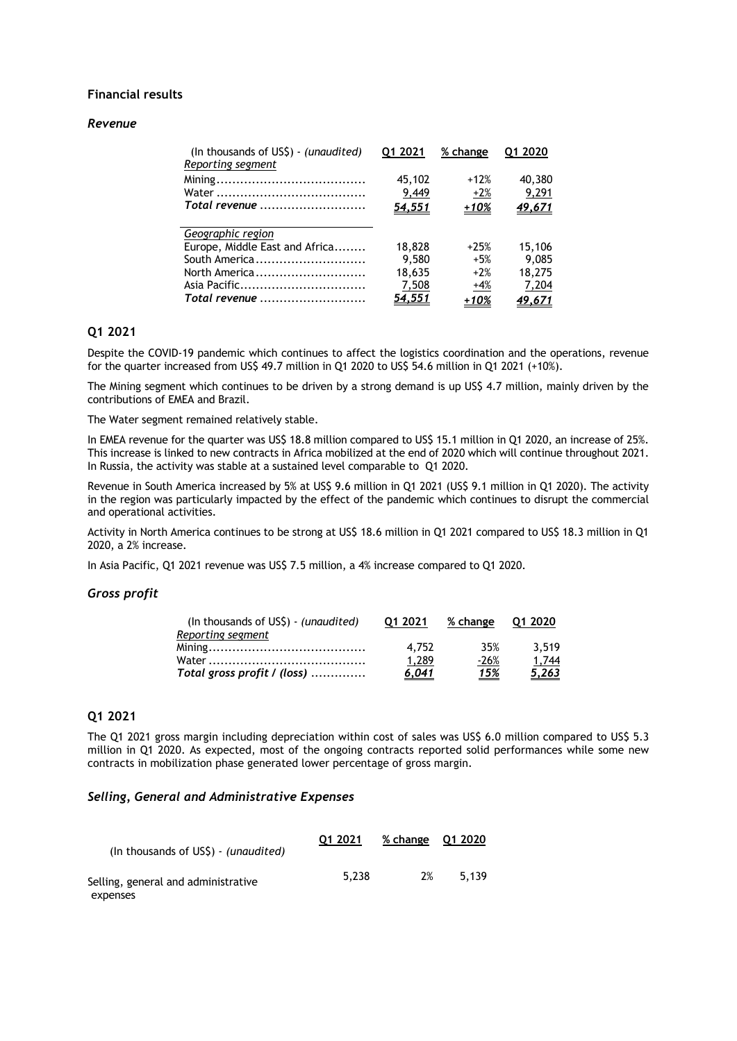## **Financial results**

#### *Revenue*

| (In thousands of US\$) - (unaudited)<br>Reporting segment | 01 2021       | % change | 01 2020       |
|-----------------------------------------------------------|---------------|----------|---------------|
|                                                           | 45,102        | $+12%$   | 40,380        |
|                                                           | 9,449         | $+2%$    | 9,291         |
| Total revenue                                             | <u>54,551</u> | $+10%$   | <u>49,671</u> |
| Geographic region                                         |               |          |               |
| Europe, Middle East and Africa                            | 18,828        | $+25%$   | 15,106        |
| South America                                             | 9.580         | $+5%$    | 9.085         |
| North America                                             | 18,635        | $+2%$    | 18,275        |
| Asia Pacific                                              | 7,508         | +4%      | 7,204         |
| Total revenue                                             | <u>54,551</u> | +10%     | 49.671        |

## **Q1 2021**

Despite the COVID-19 pandemic which continues to affect the logistics coordination and the operations, revenue for the quarter increased from US\$ 49.7 million in Q1 2020 to US\$ 54.6 million in Q1 2021 (+10%).

The Mining segment which continues to be driven by a strong demand is up US\$ 4.7 million, mainly driven by the contributions of EMEA and Brazil.

The Water segment remained relatively stable.

In EMEA revenue for the quarter was US\$ 18.8 million compared to US\$ 15.1 million in Q1 2020, an increase of 25%. This increase is linked to new contracts in Africa mobilized at the end of 2020 which will continue throughout 2021. In Russia, the activity was stable at a sustained level comparable to Q1 2020.

Revenue in South America increased by 5% at US\$ 9.6 million in Q1 2021 (US\$ 9.1 million in Q1 2020). The activity in the region was particularly impacted by the effect of the pandemic which continues to disrupt the commercial and operational activities.

Activity in North America continues to be strong at US\$ 18.6 million in Q1 2021 compared to US\$ 18.3 million in Q1 2020, a 2% increase.

In Asia Pacific, Q1 2021 revenue was US\$ 7.5 million, a 4% increase compared to Q1 2020.

#### *Gross profit*

| (In thousands of US\$) - (unaudited) | 01 2021      | % change    | O1 2020      |
|--------------------------------------|--------------|-------------|--------------|
| Reporting segment                    |              |             |              |
|                                      | 4.752        | 35%         | 3.519        |
|                                      | 1.289        | $-26%$      | 1,744        |
| Total gross profit / (loss)          | <u>6,041</u> | <u> 15%</u> | <u>5,263</u> |

## **Q1 2021**

The Q1 2021 gross margin including depreciation within cost of sales was US\$ 6.0 million compared to US\$ 5.3 million in Q1 2020. As expected, most of the ongoing contracts reported solid performances while some new contracts in mobilization phase generated lower percentage of gross margin.

### *Selling, General and Administrative Expenses*

| (In thousands of US\$) - (unaudited)            | Q1 2021 | % change Q1 2020 |       |
|-------------------------------------------------|---------|------------------|-------|
| Selling, general and administrative<br>expenses | 5.238   | 2%               | 5.139 |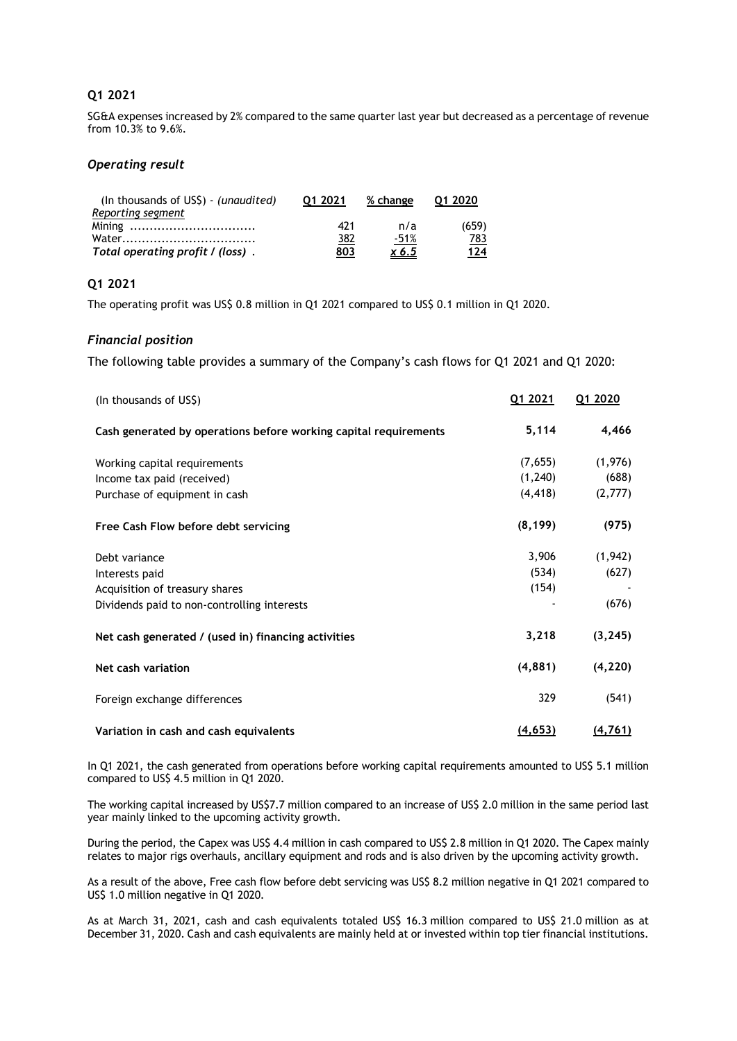## **Q1 2021**

SG&A expenses increased by 2% compared to the same quarter last year but decreased as a percentage of revenue from 10.3% to 9.6%.

## *Operating result*

| (In thousands of $US\$ ) - (unaudited) | 01 2021 | % change | 01 2020    |
|----------------------------------------|---------|----------|------------|
| Reporting segment                      |         |          |            |
|                                        | 421     | n/a      | (659)      |
|                                        | 382     | $-51%$   | <u>783</u> |
| Total operating profit / (loss).       | 803     | x 6.5    | 124        |

## **Q1 2021**

The operating profit was US\$ 0.8 million in Q1 2021 compared to US\$ 0.1 million in Q1 2020.

## *Financial position*

The following table provides a summary of the Company's cash flows for Q1 2021 and Q1 2020:

| (In thousands of US\$)                                           | Q1 2021  | Q1 2020  |
|------------------------------------------------------------------|----------|----------|
| Cash generated by operations before working capital requirements | 5,114    | 4,466    |
| Working capital requirements                                     | (7,655)  | (1,976)  |
| Income tax paid (received)                                       | (1, 240) | (688)    |
| Purchase of equipment in cash                                    | (4, 418) | (2,777)  |
| Free Cash Flow before debt servicing                             | (8, 199) | (975)    |
| Debt variance                                                    | 3,906    | (1,942)  |
| Interests paid                                                   | (534)    | (627)    |
| Acquisition of treasury shares                                   | (154)    |          |
| Dividends paid to non-controlling interests                      |          | (676)    |
| Net cash generated / (used in) financing activities              | 3,218    | (3, 245) |
| Net cash variation                                               | (4,881)  | (4, 220) |
| Foreign exchange differences                                     | 329      | (541)    |
| Variation in cash and cash equivalents                           | (4, 653) | (4, 761) |

In Q1 2021, the cash generated from operations before working capital requirements amounted to US\$ 5.1 million compared to US\$ 4.5 million in Q1 2020.

The working capital increased by US\$7.7 million compared to an increase of US\$ 2.0 million in the same period last year mainly linked to the upcoming activity growth.

During the period, the Capex was US\$ 4.4 million in cash compared to US\$ 2.8 million in Q1 2020. The Capex mainly relates to major rigs overhauls, ancillary equipment and rods and is also driven by the upcoming activity growth.

As a result of the above, Free cash flow before debt servicing was US\$ 8.2 million negative in Q1 2021 compared to US\$ 1.0 million negative in Q1 2020.

As at March 31, 2021, cash and cash equivalents totaled US\$ 16.3 million compared to US\$ 21.0 million as at December 31, 2020. Cash and cash equivalents are mainly held at or invested within top tier financial institutions.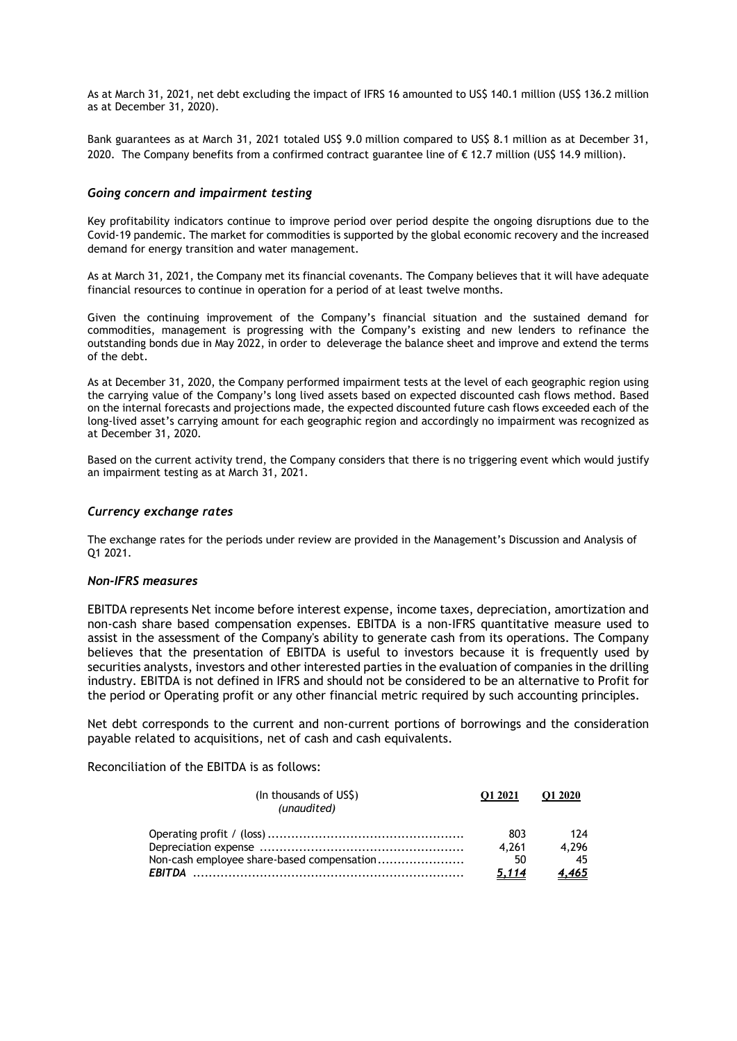As at March 31, 2021, net debt excluding the impact of IFRS 16 amounted to US\$ 140.1 million (US\$ 136.2 million as at December 31, 2020).

Bank guarantees as at March 31, 2021 totaled US\$ 9.0 million compared to US\$ 8.1 million as at December 31, 2020. The Company benefits from a confirmed contract guarantee line of € 12.7 million (US\$ 14.9 million).

### *Going concern and impairment testing*

Key profitability indicators continue to improve period over period despite the ongoing disruptions due to the Covid-19 pandemic. The market for commodities is supported by the global economic recovery and the increased demand for energy transition and water management.

As at March 31, 2021, the Company met its financial covenants. The Company believes that it will have adequate financial resources to continue in operation for a period of at least twelve months.

Given the continuing improvement of the Company's financial situation and the sustained demand for commodities, management is progressing with the Company's existing and new lenders to refinance the outstanding bonds due in May 2022, in order to deleverage the balance sheet and improve and extend the terms of the debt.

As at December 31, 2020, the Company performed impairment tests at the level of each geographic region using the carrying value of the Company's long lived assets based on expected discounted cash flows method. Based on the internal forecasts and projections made, the expected discounted future cash flows exceeded each of the long-lived asset's carrying amount for each geographic region and accordingly no impairment was recognized as at December 31, 2020.

Based on the current activity trend, the Company considers that there is no triggering event which would justify an impairment testing as at March 31, 2021.

### *Currency exchange rates*

The exchange rates for the periods under review are provided in the Management's Discussion and Analysis of Q1 2021.

#### *Non-IFRS measures*

EBITDA represents Net income before interest expense, income taxes, depreciation, amortization and non-cash share based compensation expenses. EBITDA is a non-IFRS quantitative measure used to assist in the assessment of the Company's ability to generate cash from its operations. The Company believes that the presentation of EBITDA is useful to investors because it is frequently used by securities analysts, investors and other interested parties in the evaluation of companies in the drilling industry. EBITDA is not defined in IFRS and should not be considered to be an alternative to Profit for the period or Operating profit or any other financial metric required by such accounting principles.

Net debt corresponds to the current and non-current portions of borrowings and the consideration payable related to acquisitions, net of cash and cash equivalents.

Reconciliation of the EBITDA is as follows:

| (In thousands of US\$)<br>(unaudited)      | O1 2021 | O1 2020 |
|--------------------------------------------|---------|---------|
|                                            | 803     | 174     |
|                                            | 4.261   | 4.296   |
| Non-cash employee share-based compensation | 50      | -45     |
|                                            | 5,114   | 4,465   |